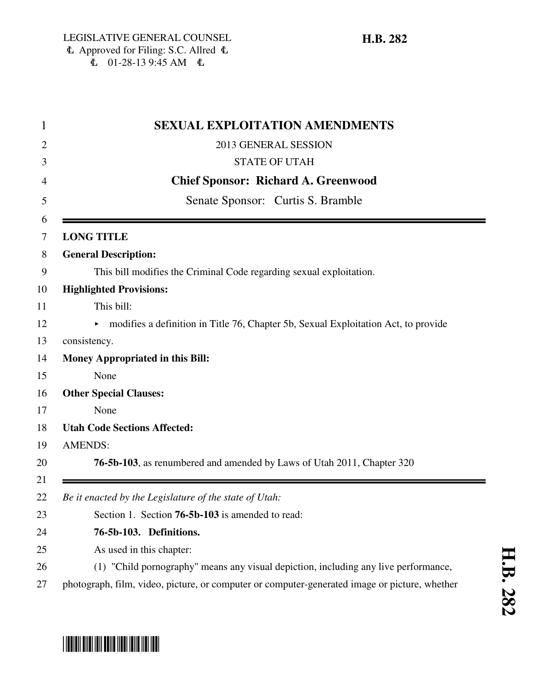\*HB0282\*

|  | <b>SEXUAL EXPLOITATION AMENDMENTS</b><br>1                                                    |  |
|--|-----------------------------------------------------------------------------------------------|--|
|  | 2013 GENERAL SESSION                                                                          |  |
|  | <b>STATE OF UTAH</b>                                                                          |  |
|  | <b>Chief Sponsor: Richard A. Greenwood</b>                                                    |  |
|  | Senate Sponsor: Curtis S. Bramble                                                             |  |
|  | <b>LONG TITLE</b>                                                                             |  |
|  | <b>General Description:</b>                                                                   |  |
|  | This bill modifies the Criminal Code regarding sexual exploitation.                           |  |
|  | <b>Highlighted Provisions:</b>                                                                |  |
|  | This bill:                                                                                    |  |
|  | modifies a definition in Title 76, Chapter 5b, Sexual Exploitation Act, to provide            |  |
|  | consistency.                                                                                  |  |
|  | <b>Money Appropriated in this Bill:</b>                                                       |  |
|  | None                                                                                          |  |
|  | <b>Other Special Clauses:</b>                                                                 |  |
|  | None                                                                                          |  |
|  | <b>Utah Code Sections Affected:</b>                                                           |  |
|  | <b>AMENDS:</b>                                                                                |  |
|  | 76-5b-103, as renumbered and amended by Laws of Utah 2011, Chapter 320                        |  |
|  | Be it enacted by the Legislature of the state of Utah:                                        |  |
|  | Section 1. Section 76-5b-103 is amended to read:                                              |  |
|  | 76-5b-103. Definitions.                                                                       |  |
|  | As used in this chapter:                                                                      |  |
|  | (1) "Child pornography" means any visual depiction, including any live performance,           |  |
|  | photograph, film, video, picture, or computer or computer-generated image or picture, whether |  |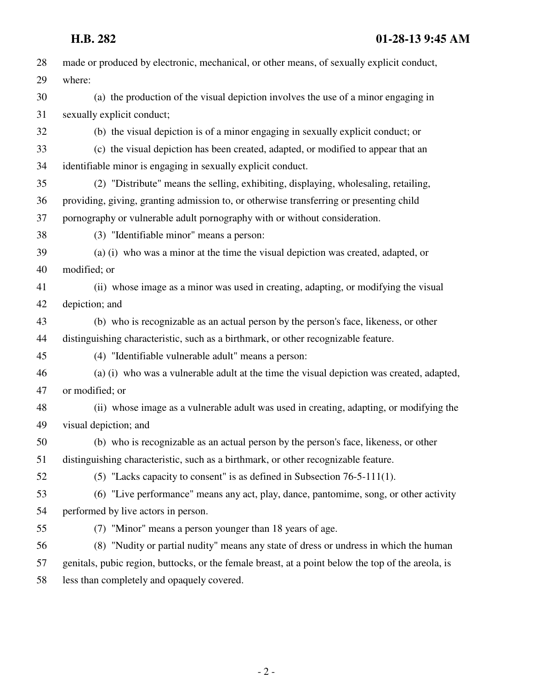| 28 | made or produced by electronic, mechanical, or other means, of sexually explicit conduct,          |
|----|----------------------------------------------------------------------------------------------------|
| 29 | where:                                                                                             |
| 30 | (a) the production of the visual depiction involves the use of a minor engaging in                 |
| 31 | sexually explicit conduct;                                                                         |
| 32 | (b) the visual depiction is of a minor engaging in sexually explicit conduct; or                   |
| 33 | (c) the visual depiction has been created, adapted, or modified to appear that an                  |
| 34 | identifiable minor is engaging in sexually explicit conduct.                                       |
| 35 | (2) "Distribute" means the selling, exhibiting, displaying, wholesaling, retailing,                |
| 36 | providing, giving, granting admission to, or otherwise transferring or presenting child            |
| 37 | pornography or vulnerable adult pornography with or without consideration.                         |
| 38 | (3) "Identifiable minor" means a person:                                                           |
| 39 | (a) (i) who was a minor at the time the visual depiction was created, adapted, or                  |
| 40 | modified; or                                                                                       |
| 41 | (ii) whose image as a minor was used in creating, adapting, or modifying the visual                |
| 42 | depiction; and                                                                                     |
| 43 | (b) who is recognizable as an actual person by the person's face, likeness, or other               |
| 44 | distinguishing characteristic, such as a birthmark, or other recognizable feature.                 |
| 45 | (4) "Identifiable vulnerable adult" means a person:                                                |
| 46 | (a) (i) who was a vulnerable adult at the time the visual depiction was created, adapted,          |
| 47 | or modified; or                                                                                    |
| 48 | (ii) whose image as a vulnerable adult was used in creating, adapting, or modifying the            |
| 49 | visual depiction; and                                                                              |
| 50 | (b) who is recognizable as an actual person by the person's face, likeness, or other               |
| 51 | distinguishing characteristic, such as a birthmark, or other recognizable feature.                 |
| 52 | (5) "Lacks capacity to consent" is as defined in Subsection $76-5-111(1)$ .                        |
| 53 | (6) "Live performance" means any act, play, dance, pantomime, song, or other activity              |
| 54 | performed by live actors in person.                                                                |
| 55 | (7) "Minor" means a person younger than 18 years of age.                                           |
| 56 | (8) "Nudity or partial nudity" means any state of dress or undress in which the human              |
| 57 | genitals, pubic region, buttocks, or the female breast, at a point below the top of the areola, is |
| 58 | less than completely and opaquely covered.                                                         |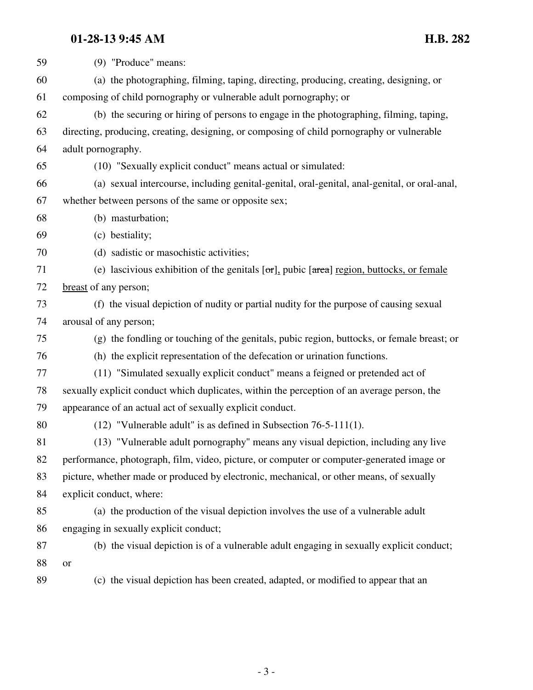## **01-28-13 9:45 AM H.B. 282**

| 59 | (9) "Produce" means:                                                                                         |
|----|--------------------------------------------------------------------------------------------------------------|
| 60 | (a) the photographing, filming, taping, directing, producing, creating, designing, or                        |
| 61 | composing of child pornography or vulnerable adult pornography; or                                           |
| 62 | (b) the securing or hiring of persons to engage in the photographing, filming, taping,                       |
| 63 | directing, producing, creating, designing, or composing of child pornography or vulnerable                   |
| 64 | adult pornography.                                                                                           |
| 65 | (10) "Sexually explicit conduct" means actual or simulated:                                                  |
| 66 | (a) sexual intercourse, including genital-genital, oral-genital, anal-genital, or oral-anal,                 |
| 67 | whether between persons of the same or opposite sex;                                                         |
| 68 | (b) masturbation;                                                                                            |
| 69 | (c) bestiality;                                                                                              |
| 70 | (d) sadistic or masochistic activities;                                                                      |
| 71 | (e) lascivious exhibition of the genitals $[\sigma r]$ , pubic $[\sigma \sigma]$ region, buttocks, or female |
| 72 | breast of any person;                                                                                        |
| 73 | (f) the visual depiction of nudity or partial nudity for the purpose of causing sexual                       |
| 74 | arousal of any person;                                                                                       |
| 75 | (g) the fondling or touching of the genitals, pubic region, buttocks, or female breast; or                   |
| 76 | (h) the explicit representation of the defecation or urination functions.                                    |
| 77 | (11) "Simulated sexually explicit conduct" means a feigned or pretended act of                               |
| 78 | sexually explicit conduct which duplicates, within the perception of an average person, the                  |
| 79 | appearance of an actual act of sexually explicit conduct.                                                    |
| 80 | $(12)$ "Vulnerable adult" is as defined in Subsection 76-5-111(1).                                           |
| 81 | (13) "Vulnerable adult pornography" means any visual depiction, including any live                           |
| 82 | performance, photograph, film, video, picture, or computer or computer-generated image or                    |
| 83 | picture, whether made or produced by electronic, mechanical, or other means, of sexually                     |
| 84 | explicit conduct, where:                                                                                     |
| 85 | (a) the production of the visual depiction involves the use of a vulnerable adult                            |
| 86 | engaging in sexually explicit conduct;                                                                       |
| 87 | (b) the visual depiction is of a vulnerable adult engaging in sexually explicit conduct;                     |
| 88 | <b>or</b>                                                                                                    |
| 89 | (c) the visual depiction has been created, adapted, or modified to appear that an                            |